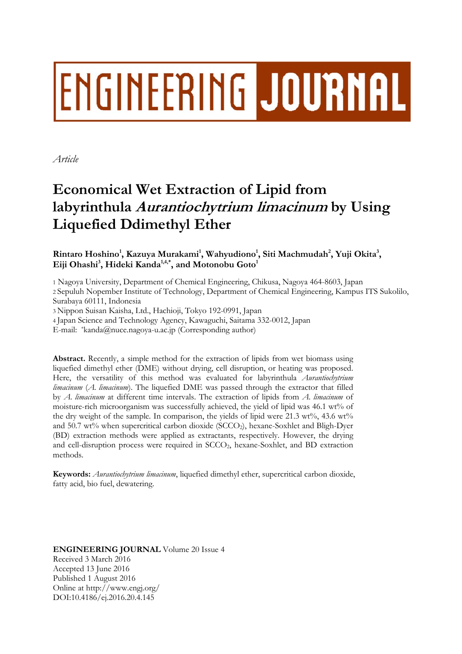# ENGINEERING JOURNAL

*Article* 

# **Economical Wet Extraction of Lipid from labyrinthula Aurantiochytrium limacinum by Using Liquefied Ddimethyl Ether**

Rintaro Hoshino<sup>1</sup>, Kazuya Murakami<sup>1</sup>, Wahyudiono<sup>1</sup>, Siti Machmudah<sup>2</sup>, Yuji Okita<sup>3</sup>,  ${\rm E}$ iji Ohashi $^3$ , Hideki Kanda $^{1,4,*}$ , and Motonobu Goto $^1$ 

1 Nagoya University, Department of Chemical Engineering, Chikusa, Nagoya 464-8603, Japan 2 Sepuluh Nopember Institute of Technology, Department of Chemical Engineering, Kampus ITS Sukolilo, Surabaya 60111, Indonesia

3 Nippon Suisan Kaisha, Ltd., Hachioji, Tokyo 192-0991, Japan

4 Japan Science and Technology Agency, Kawaguchi, Saitama 332-0012, Japan

E-mail: \*kanda@nuce.nagoya-u.ac.jp (Corresponding author)

**Abstract.** Recently, a simple method for the extraction of lipids from wet biomass using liquefied dimethyl ether (DME) without drying, cell disruption, or heating was proposed. Here, the versatility of this method was evaluated for labyrinthula *Aurantiochytrium limacinum* (*A. limacinum*). The liquefied DME was passed through the extractor that filled by *A. limacinum* at different time intervals. The extraction of lipids from *A. limacinum* of moisture-rich microorganism was successfully achieved, the yield of lipid was 46.1 wt% of the dry weight of the sample. In comparison, the yields of lipid were  $21.3 \text{ wt\%}$ ,  $43.6 \text{ wt\%}$ and 50.7 wt% when supercritical carbon dioxide (SCCO2), hexane-Soxhlet and Bligh-Dyer (BD) extraction methods were applied as extractants, respectively. However, the drying and cell-disruption process were required in SCCO2, hexane-Soxhlet, and BD extraction methods.

**Keywords:** *Aurantiochytrium limacinum*, liquefied dimethyl ether, supercritical carbon dioxide, fatty acid, bio fuel, dewatering.

**ENGINEERING JOURNAL** Volume 20 Issue 4 Received 3 March 2016 Accepted 13 June 2016 Published 1 August 2016 Online at http://www.engj.org/ DOI:10.4186/ej.2016.20.4.145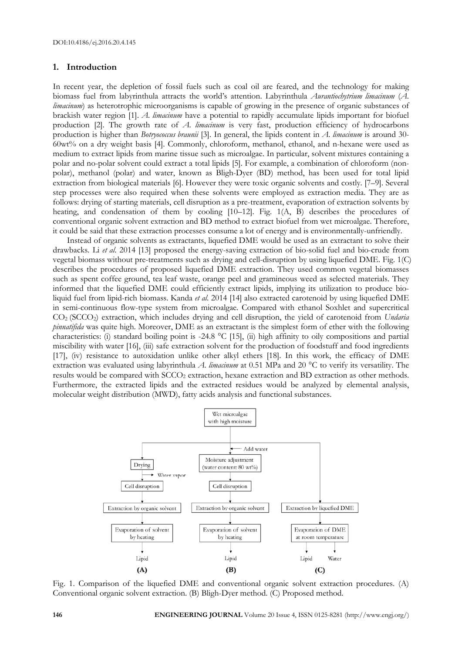#### **1. Introduction**

In recent year, the depletion of fossil fuels such as coal oil are feared, and the technology for making biomass fuel from labyrinthula attracts the world's attention. Labyrinthula *Aurantiochytrium limacinum* (*A. limacinum*) as heterotrophic microorganisms is capable of growing in the presence of organic substances of brackish water region [1]. *A. limacinum* have a potential to rapidly accumulate lipids important for biofuel production [2]. The growth rate of *A. limacinum* is very fast, production efficiency of hydrocarbons production is higher than *Botryococcus braunii* [3]. In general, the lipids content in *A. limacinum* is around 30- 60wt% on a dry weight basis [4]. Commonly, chloroform, methanol, ethanol, and n-hexane were used as medium to extract lipids from marine tissue such as microalgae. In particular, solvent mixtures containing a polar and no-polar solvent could extract a total lipids [5]. For example, a combination of chloroform (nonpolar), methanol (polar) and water, known as Bligh-Dyer (BD) method, has been used for total lipid extraction from biological materials [6]. However they were toxic organic solvents and costly. [7–9]. Several step processes were also required when these solvents were employed as extraction media. They are as follows: drying of starting materials, cell disruption as a pre-treatment, evaporation of extraction solvents by heating, and condensation of them by cooling [10–12]. Fig. 1(A, B) describes the procedures of conventional organic solvent extraction and BD method to extract biofuel from wet microalgae. Therefore, it could be said that these extraction processes consume a lot of energy and is environmentally-unfriendly.

Instead of organic solvents as extractants, liquefied DME would be used as an extractant to solve their drawbacks. Li *et al*. 2014 [13] proposed the energy-saving extraction of bio-solid fuel and bio-crude from vegetal biomass without pre-treatments such as drying and cell-disruption by using liquefied DME. Fig. 1(C) describes the procedures of proposed liquefied DME extraction. They used common vegetal biomasses such as spent coffee ground, tea leaf waste, orange peel and gramineous weed as selected materials. They informed that the liquefied DME could efficiently extract lipids, implying its utilization to produce bioliquid fuel from lipid-rich biomass. Kanda *et al*. 2014 [14] also extracted carotenoid by using liquefied DME in semi-continuous flow-type system from microalgae. Compared with ethanol Soxhlet and supercritical CO2 (SCCO2) extraction, which includes drying and cell disruption, the yield of carotenoid from *Undaria pinnatifida* was quite high. Moreover, DME as an extractant is the simplest form of ether with the following characteristics: (i) standard boiling point is -24.8 °C [15], (ii) high affinity to oily compositions and partial miscibility with water [16], (iii) safe extraction solvent for the production of foodstuff and food ingredients [17], (iv) resistance to autoxidation unlike other alkyl ethers [18]. In this work, the efficacy of DME extraction was evaluated using labyrinthula *A. limacinum* at 0.51 MPa and 20 °C to verify its versatility. The results would be compared with SCCO<sub>2</sub> extraction, hexane extraction and BD extraction as other methods. Furthermore, the extracted lipids and the extracted residues would be analyzed by elemental analysis, molecular weight distribution (MWD), fatty acids analysis and functional substances.



Fig. 1. Comparison of the liquefied DME and conventional organic solvent extraction procedures. (A) Conventional organic solvent extraction. (B) Bligh-Dyer method. (C) Proposed method.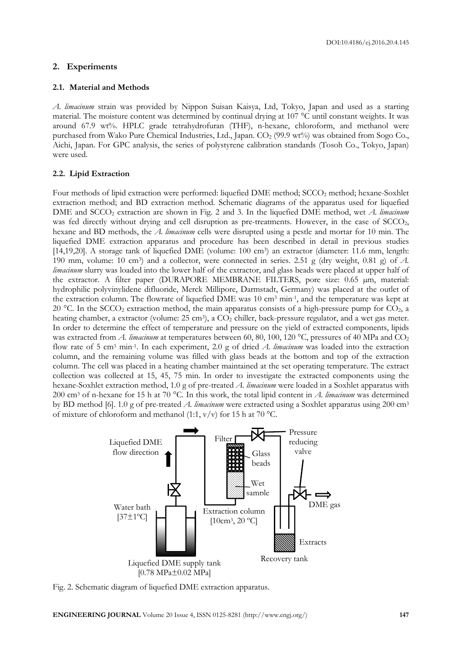#### **2. Experiments**

### **2.1. Material and Methods**

*A. limacinum* strain was provided by Nippon Suisan Kaisya, Ltd, Tokyo, Japan and used as a starting material. The moisture content was determined by continual drying at 107 °C until constant weights. It was around 67.9 wt%. HPLC grade tetrahydrofuran (THF), n-hexane, chloroform, and methanol were purchased from Wako Pure Chemical Industries, Ltd., Japan. CO<sub>2</sub> (99.9 wt%) was obtained from Sogo Co., Aichi, Japan. For GPC analysis, the series of polystyrene calibration standards (Tosoh Co., Tokyo, Japan) were used.

## **2.2. Lipid Extraction**

Four methods of lipid extraction were performed: liquefied DME method; SCCO<sub>2</sub> method; hexane-Soxhlet extraction method; and BD extraction method. Schematic diagrams of the apparatus used for liquefied DME and SCCO<sub>2</sub> extraction are shown in Fig. 2 and 3. In the liquefied DME method, wet *A. limacinum* was fed directly without drying and cell disruption as pre-treatments. However, in the case of SCCO<sub>2</sub>, hexane and BD methods, the *A. limacinum* cells were disrupted using a pestle and mortar for 10 min. The liquefied DME extraction apparatus and procedure has been described in detail in previous studies [14,19,20]. A storage tank of liquefied DME (volume: 100 cm<sup>3</sup>) an extractor (diameter: 11.6 mm, length: 190 mm, volume: 10 cm3) and a collector, were connected in series. 2.51 g (dry weight, 0.81 g) of *A. limacinum* slurry was loaded into the lower half of the extractor, and glass beads were placed at upper half of the extractor. A filter paper (DURAPORE MEMBRANE FILTERS, pore size: 0.65 µm, material: hydrophilic polyvinylidene difluoride, Merck Millipore, Darmstadt, Germany) was placed at the outlet of the extraction column. The flowrate of liquefied DME was 10 cm3 min-1, and the temperature was kept at 20 °C. In the SCCO<sub>2</sub> extraction method, the main apparatus consists of a high-pressure pump for CO<sub>2</sub>, a heating chamber, a extractor (volume: 25 cm<sup>3</sup>), a CO<sub>2</sub> chiller, back-pressure regulator, and a wet gas meter. In order to determine the effect of temperature and pressure on the yield of extracted components, lipids was extracted from *A. limacinum* at temperatures between 60, 80, 100, 120 °C, pressures of 40 MPa and CO<sub>2</sub> flow rate of 5 cm3 min-1. In each experiment, 2.0 g of dried *A. limacinum* was loaded into the extraction column, and the remaining volume was filled with glass beads at the bottom and top of the extraction column. The cell was placed in a heating chamber maintained at the set operating temperature. The extract collection was collected at 15, 45, 75 min. In order to investigate the extracted components using the hexane-Soxhlet extraction method, 1.0 g of pre-treated *A. limacinum* were loaded in a Soxhlet apparatus with 200 cm3 of n-hexane for 15 h at 70 °C. In this work, the total lipid content in *A. limacinum* was determined by BD method [6]. 1.0 g of pre-treated *A. limacinum* were extracted using a Soxhlet apparatus using 200 cm3 of mixture of chloroform and methanol (1:1,  $v/v$ ) for 15 h at 70 °C.



Fig. 2. Schematic diagram of liquefied DME extraction apparatus.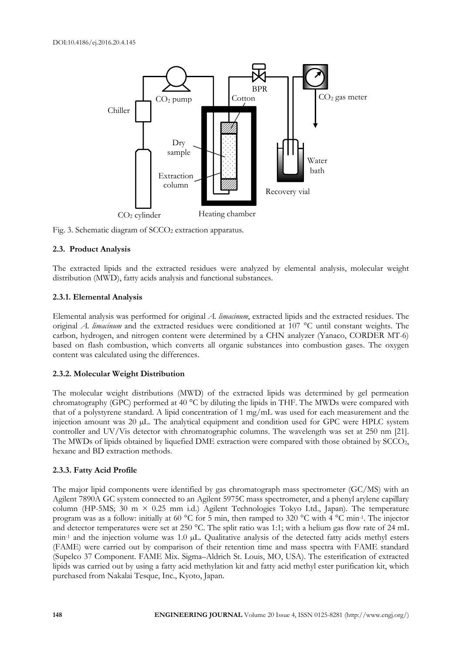

Fig. 3. Schematic diagram of  $SCCO<sub>2</sub>$  extraction apparatus.

#### **2.3. Product Analysis**

The extracted lipids and the extracted residues were analyzed by elemental analysis, molecular weight distribution (MWD), fatty acids analysis and functional substances.

#### **2.3.1. Elemental Analysis**

Elemental analysis was performed for original *A. limacinum*, extracted lipids and the extracted residues. The original *A. limacinum* and the extracted residues were conditioned at 107 °C until constant weights. The carbon, hydrogen, and nitrogen content were determined by a CHN analyzer (Yanaco, CORDER MT-6) based on flash combustion, which converts all organic substances into combustion gases. The oxygen content was calculated using the differences.

#### **2.3.2. Molecular Weight Distribution**

The molecular weight distributions (MWD) of the extracted lipids was determined by gel permeation chromatography (GPC) performed at 40 °C by diluting the lipids in THF. The MWDs were compared with that of a polystyrene standard. A lipid concentration of 1 mg/mL was used for each measurement and the injection amount was 20 µL. The analytical equipment and condition used for GPC were HPLC system controller and UV/Vis detector with chromatographic columns. The wavelength was set at 250 nm [21]. The MWDs of lipids obtained by liquefied DME extraction were compared with those obtained by SCCO<sub>2</sub>, hexane and BD extraction methods.

#### **2.3.3. Fatty Acid Profile**

The major lipid components were identified by gas chromatograph mass spectrometer (GC/MS) with an Agilent 7890A GC system connected to an Agilent 5975C mass spectrometer, and a phenyl arylene capillary column (HP-5MS; 30 m  $\times$  0.25 mm i.d.) Agilent Technologies Tokyo Ltd., Japan). The temperature program was as a follow: initially at 60 °C for 5 min, then ramped to 320 °C with 4 °C min-1. The injector and detector temperatures were set at 250 °C. The split ratio was 1:1; with a helium gas flow rate of 24 mL min<sup>-1</sup> and the injection volume was 1.0 µL. Qualitative analysis of the detected fatty acids methyl esters (FAME) were carried out by comparison of their retention time and mass spectra with FAME standard (Supelco 37 Component. FAME Mix. Sigma–Aldrich St. Louis, MO, USA). The esterification of extracted lipids was carried out by using a fatty acid methylation kit and fatty acid methyl ester purification kit, which purchased from Nakalai Tesque, Inc., Kyoto, Japan.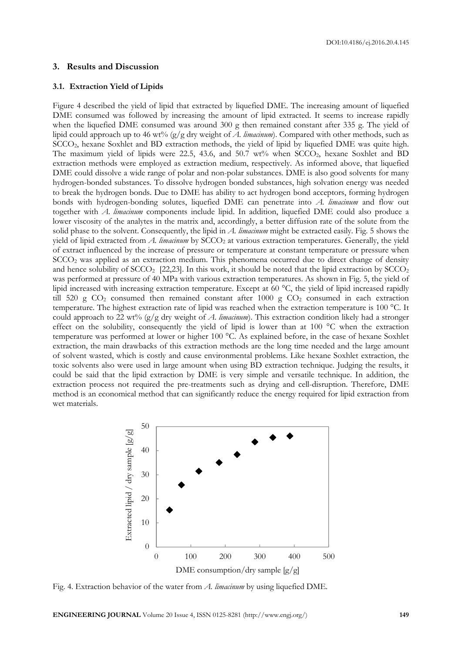#### **3. Results and Discussion**

#### **3.1. Extraction Yield of Lipids**

Figure 4 described the yield of lipid that extracted by liquefied DME. The increasing amount of liquefied DME consumed was followed by increasing the amount of lipid extracted. It seems to increase rapidly when the liquefied DME consumed was around 300 g then remained constant after 335 g. The yield of lipid could approach up to 46 wt% (g/g dry weight of *A. limacinum*). Compared with other methods, such as SCCO2, hexane Soxhlet and BD extraction methods, the yield of lipid by liquefied DME was quite high. The maximum yield of lipids were 22.5, 43.6, and 50.7 wt% when  $SCCO<sub>2</sub>$ , hexane Soxhlet and BD extraction methods were employed as extraction medium, respectively. As informed above, that liquefied DME could dissolve a wide range of polar and non-polar substances. DME is also good solvents for many hydrogen-bonded substances. To dissolve hydrogen bonded substances, high solvation energy was needed to break the hydrogen bonds. Due to DME has ability to act hydrogen bond acceptors, forming hydrogen bonds with hydrogen-bonding solutes, liquefied DME can penetrate into *A. limacinum* and flow out together with *A. limacinum* components include lipid. In addition, liquefied DME could also produce a lower viscosity of the analytes in the matrix and, accordingly, a better diffusion rate of the solute from the solid phase to the solvent. Consequently, the lipid in *A. limacinum* might be extracted easily. Fig. 5 shows the yield of lipid extracted from *A. limacinum* by SCCO<sub>2</sub> at various extraction temperatures. Generally, the yield of extract influenced by the increase of pressure or temperature at constant temperature or pressure when SCCO2 was applied as an extraction medium. This phenomena occurred due to direct change of density and hence solubility of  $SCCO<sub>2</sub>$  [22,23]. In this work, it should be noted that the lipid extraction by  $SCCO<sub>2</sub>$ was performed at pressure of 40 MPa with various extraction temperatures. As shown in Fig. 5, the yield of lipid increased with increasing extraction temperature. Except at 60 °C, the yield of lipid increased rapidly till 520 g  $CO<sub>2</sub>$  consumed then remained constant after 1000 g  $CO<sub>2</sub>$  consumed in each extraction temperature. The highest extraction rate of lipid was reached when the extraction temperature is 100 °C. It could approach to 22 wt% (g/g dry weight of *A. limacinum*). This extraction condition likely had a stronger effect on the solubility, consequently the yield of lipid is lower than at 100 °C when the extraction temperature was performed at lower or higher 100 °C. As explained before, in the case of hexane Soxhlet extraction, the main drawbacks of this extraction methods are the long time needed and the large amount of solvent wasted, which is costly and cause environmental problems. Like hexane Soxhlet extraction, the toxic solvents also were used in large amount when using BD extraction technique. Judging the results, it could be said that the lipid extraction by DME is very simple and versatile technique. In addition, the extraction process not required the pre-treatments such as drying and cell-disruption. Therefore, DME method is an economical method that can significantly reduce the energy required for lipid extraction from wet materials.



Fig. 4. Extraction behavior of the water from *A. limacinum* by using liquefied DME.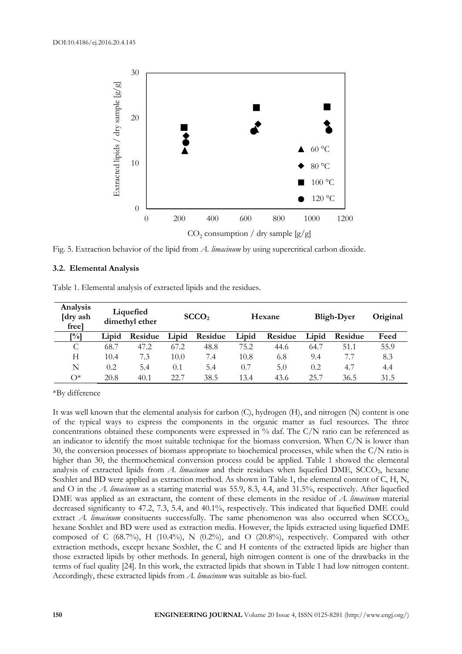

Fig. 5. Extraction behavior of the lipid from *A. limacinum* by using supercritical carbon dioxide.

#### **3.2. Elemental Analysis**

|  | Table 1. Elemental analysis of extracted lipids and the residues. |  |  |
|--|-------------------------------------------------------------------|--|--|
|  |                                                                   |  |  |

| Analysis<br>[dry ash]<br>free |       | Liquefied<br>dimethyl ether |       | SCCO <sub>2</sub> |       | Hexane  |       | <b>Bligh-Dyer</b> | Original |
|-------------------------------|-------|-----------------------------|-------|-------------------|-------|---------|-------|-------------------|----------|
| [%]                           | Lipid | Residue                     | Lipid | Residue           | Lipid | Residue | Lipid | Residue           | Feed     |
| С                             | 68.7  | 47.2                        | 67.2  | 48.8              | 75.2  | 44.6    | 64.7  | 51.1              | 55.9     |
| Н                             | 10.4  | 7.3                         | 10.0  | 7.4               | 10.8  | 6.8     | 9.4   | 7.7               | 8.3      |
| N                             | 0.2   | 5.4                         | 0.1   | 5.4               | 0.7   | 5.0     | 0.2   | 4.7               | 4.4      |
| $\bigcap^*$                   | 20.8  | 40.1                        | 22.7  | 38.5              | 13.4  | 43.6    | 25.7  | 36.5              | 31.5     |

\*By difference

It was well known that the elemental analysis for carbon (C), hydrogen (H), and nitrogen (N) content is one of the typical ways to express the components in the organic matter as fuel resources. The three concentrations obtained these components were expressed in % daf. The C/N ratio can be referenced as an indicator to identify the most suitable technique for the biomass conversion. When  $C/N$  is lower than 30, the conversion processes of biomass appropriate to biochemical processes, while when the C/N ratio is higher than 30, the thermochemical conversion process could be applied. Table 1 showed the elemental analysis of extracted lipids from *A. limacinum* and their residues when liquefied DME, SCCO<sub>2</sub>, hexane Soxhlet and BD were applied as extraction method. As shown in Table 1, the elemental content of C, H, N, and O in the *A. limacinum* as a starting material was 55.9, 8.3, 4.4, and 31.5%, respectively. After liquefied DME was applied as an extractant, the content of these elements in the residue of *A. limacinum* material decreased significanty to 47.2, 7.3, 5.4, and 40.1%, respectively. This indicated that liquefied DME could extract *A. limacinum* consituents successfully. The same phenomenon was also occurred when SCCO<sub>2</sub>, hexane Soxhlet and BD were used as extraction media. However, the lipids extracted using liquefied DME composed of C (68.7%), H (10.4%), N (0.2%), and O (20.8%), respectively. Compared with other extraction methods, except hexane Soxhlet, the C and H contents of the extracted lipids are higher than those extracted lipids by other methods. In general, high nitrogen content is one of the drawbacks in the terms of fuel quality [24]. In this work, the extracted lipids that shown in Table 1 had low nitrogen content. Accordingly, these extracted lipids from *A. limacinum* was suitable as bio-fuel.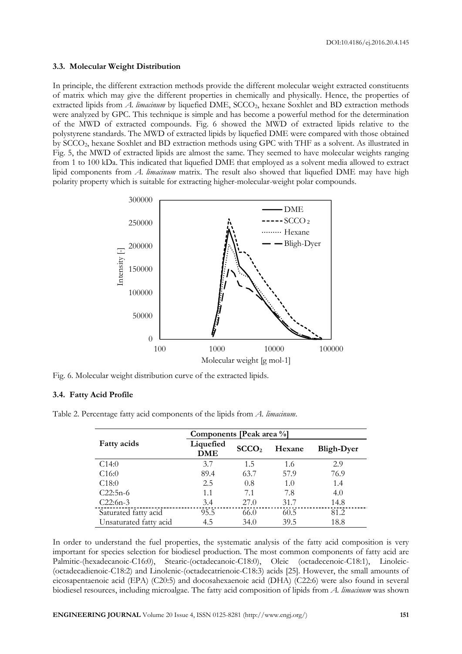#### **3.3. Molecular Weight Distribution**

In principle, the different extraction methods provide the different molecular weight extracted constituents of matrix which may give the different properties in chemically and physically. Hence, the properties of extracted lipids from *A. limacinum* by liquefied DME, SCCO<sub>2</sub>, hexane Soxhlet and BD extraction methods were analyzed by GPC. This technique is simple and has become a powerful method for the determination of the MWD of extracted compounds. Fig. 6 showed the MWD of extracted lipids relative to the polystyrene standards. The MWD of extracted lipids by liquefied DME were compared with those obtained by SCCO2, hexane Soxhlet and BD extraction methods using GPC with THF as a solvent. As illustrated in Fig. 5, the MWD of extracted lipids are almost the same. They seemed to have molecular weights ranging from 1 to 100 kDa. This indicated that liquefied DME that employed as a solvent media allowed to extract lipid components from *A. limacinum* matrix. The result also showed that liquefied DME may have high polarity property which is suitable for extracting higher-molecular-weight polar compounds.



Fig. 6. Molecular weight distribution curve of the extracted lipids.

#### **3.4. Fatty Acid Profile**

|  | Table 2. Percentage fatty acid components of the lipids from A. limacinum. |  |  |
|--|----------------------------------------------------------------------------|--|--|
|  |                                                                            |  |  |

|                        | Components [Peak area %]                     |      |        |                   |  |  |
|------------------------|----------------------------------------------|------|--------|-------------------|--|--|
| <b>Fatty acids</b>     | Liquefied<br>SCCO <sub>2</sub><br><b>DME</b> |      | Hexane | <b>Bligh-Dyer</b> |  |  |
| C14:0                  | 3.7                                          | 1.5  | 1.6    | 2.9               |  |  |
| C16:0                  | 89.4                                         | 63.7 | 57.9   | 76.9              |  |  |
| C18:0                  | 2.5                                          | 0.8  | 1.0    | 1.4               |  |  |
| $C22:5n-6$             | 1.1                                          | 7.1  | 7.8    | 4.0               |  |  |
| $C22:6n-3$             | 3.4                                          | 27.0 | 31.7   | 14.8              |  |  |
| Saturated fatty acid   | 95.5                                         | 66.0 | 60.5   | 81.2              |  |  |
| Unsaturated fatty acid | 4.5                                          | 34.0 | 39.5   | 18.8              |  |  |

In order to understand the fuel properties, the systematic analysis of the fatty acid composition is very important for species selection for biodiesel production. The most common components of fatty acid are Palmitic-(hexadecanoic-C16:0), Stearic-(octadecanoic-C18:0), Oleic (octadecenoic-C18:1), Linoleic- (octadecadienoic-C18:2) and Linolenic-(octadecatrienoic-C18:3) acids [25]. However, the small amounts of eicosapentaenoic acid (EPA) (C20:5) and docosahexaenoic acid (DHA) (C22:6) were also found in several biodiesel resources, including microalgae. The fatty acid composition of lipids from *A. limacinum* was shown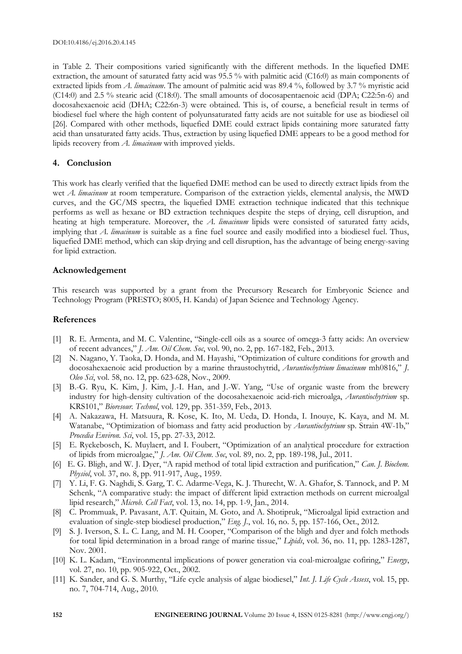in Table 2. Their compositions varied significantly with the different methods. In the liquefied DME extraction, the amount of saturated fatty acid was 95.5 % with palmitic acid (C16:0) as main components of extracted lipids from *A. limacinum*. The amount of palmitic acid was 89.4 %, followed by 3.7 % myristic acid (C14:0) and 2.5 % stearic acid (C18:0). The small amounts of docosapentaenoic acid (DPA; C22:5n-6) and docosahexaenoic acid (DHA; C22:6n-3) were obtained. This is, of course, a beneficial result in terms of biodiesel fuel where the high content of polyunsaturated fatty acids are not suitable for use as biodiesel oil [26]. Compared with other methods, liquefied DME could extract lipids containing more saturated fatty acid than unsaturated fatty acids. Thus, extraction by using liquefied DME appears to be a good method for lipids recovery from *A. limacinum* with improved yields.

#### **4. Conclusion**

This work has clearly verified that the liquefied DME method can be used to directly extract lipids from the wet *A. limacinum* at room temperature. Comparison of the extraction yields, elemental analysis, the MWD curves, and the GC/MS spectra, the liquefied DME extraction technique indicated that this technique performs as well as hexane or BD extraction techniques despite the steps of drying, cell disruption, and heating at high temperature. Moreover, the *A. limacinum* lipids were consisted of saturated fatty acids, implying that *A. limacinum* is suitable as a fine fuel source and easily modified into a biodiesel fuel. Thus, liquefied DME method, which can skip drying and cell disruption, has the advantage of being energy-saving for lipid extraction.

#### **Acknowledgement**

This research was supported by a grant from the Precursory Research for Embryonic Science and Technology Program (PRESTO; 8005, H. Kanda) of Japan Science and Technology Agency.

#### **References**

- [1] R. E. Armenta, and M. C. Valentine, "Single-cell oils as a source of omega-3 fatty acids: An overview of recent advances," *J. Am. Oil Chem. Soc*, vol. 90, no. 2, pp. 167-182, Feb., 2013.
- [2] N. Nagano, Y. Taoka, D. Honda, and M. Hayashi, "Optimization of culture conditions for growth and docosahexaenoic acid production by a marine thraustochytrid, *Aurantiochytrium limacinum* mh0816," *J. Oleo Sci*, vol. 58, no. 12, pp. 623-628, Nov., 2009.
- [3] B.-G. Ryu, K. Kim, J. Kim, J.-I. Han, and J.-W. Yang, "Use of organic waste from the brewery industry for high-density cultivation of the docosahexaenoic acid-rich microalga, *Aurantiochytrium* sp. KRS101," *Bioresour. Technol*, vol. 129, pp. 351-359, Feb., 2013.
- [4] A. Nakazawa, H. Matsuura, R. Kose, K. Ito, M. Ueda, D. Honda, I. Inouye, K. Kaya, and M. M. Watanabe, "Optimization of biomass and fatty acid production by *Aurantiochytrium* sp. Strain 4W-1b," *Procedia Environ. Sci*, vol. 15, pp. 27-33, 2012.
- [5] E. Ryckebosch, K. Muylaert, and I. Foubert, "Optimization of an analytical procedure for extraction of lipids from microalgae," *J. Am. Oil Chem. Soc*, vol. 89, no. 2, pp. 189-198, Jul., 2011.
- [6] E. G. Bligh, and W. J. Dyer, "A rapid method of total lipid extraction and purification," *Can. J. Biochem. Physiol*, vol. 37, no. 8, pp. 911-917, Aug., 1959.
- [7] Y. Li, F. G. Naghdi, S. Garg, T. C. Adarme-Vega, K. J. Thurecht, W. A. Ghafor, S. Tannock, and P. M Schenk, "A comparative study: the impact of different lipid extraction methods on current microalgal lipid research," *Microb. Cell Fact*, vol. 13, no. 14, pp. 1-9, Jan., 2014.
- [8] C. Prommuak, P. Pavasant, A.T. Quitain, M. Goto, and A. Shotipruk, "Microalgal lipid extraction and evaluation of single-step biodiesel production," *Eng. J.*, vol. 16, no. 5, pp. 157-166, Oct., 2012.
- [9] S. J. Iverson, S. L. C. Lang, and M. H. Cooper, "Comparison of the bligh and dyer and folch methods for total lipid determination in a broad range of marine tissue," *Lipids*, vol. 36, no. 11, pp. 1283-1287, Nov. 2001.
- [10] K. L. Kadam, "Environmental implications of power generation via coal-microalgae cofiring," *Energy*, vol. 27, no. 10, pp. 905-922, Oct., 2002.
- [11] K. Sander, and G. S. Murthy, "Life cycle analysis of algae biodiesel," *Int. J. Life Cycle Assess*, vol. 15, pp. no. 7, 704-714, Aug., 2010.